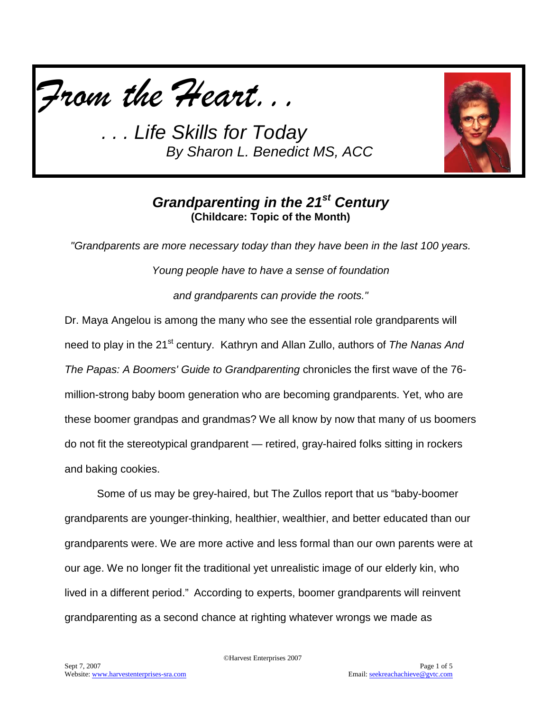



# *Grandparenting in the 21st Century* **(Childcare: Topic of the Month)**

*"Grandparents are more necessary today than they have been in the last 100 years.* 

*Young people have to have a sense of foundation* 

*and grandparents can provide the roots."*

Dr. Maya Angelou is among the many who see the essential role grandparents will need to play in the 21<sup>st</sup> century. Kathryn and Allan Zullo, authors of *The Nanas And The Papas: A Boomers' Guide to Grandparenting* chronicles the first wave of the 76 million-strong baby boom generation who are becoming grandparents. Yet, who are these boomer grandpas and grandmas? We all know by now that many of us boomers do not fit the stereotypical grandparent — retired, gray-haired folks sitting in rockers and baking cookies.

Some of us may be grey-haired, but The Zullos report that us "baby-boomer grandparents are younger-thinking, healthier, wealthier, and better educated than our grandparents were. We are more active and less formal than our own parents were at our age. We no longer fit the traditional yet unrealistic image of our elderly kin, who lived in a different period." According to experts, boomer grandparents will reinvent grandparenting as a second chance at righting whatever wrongs we made as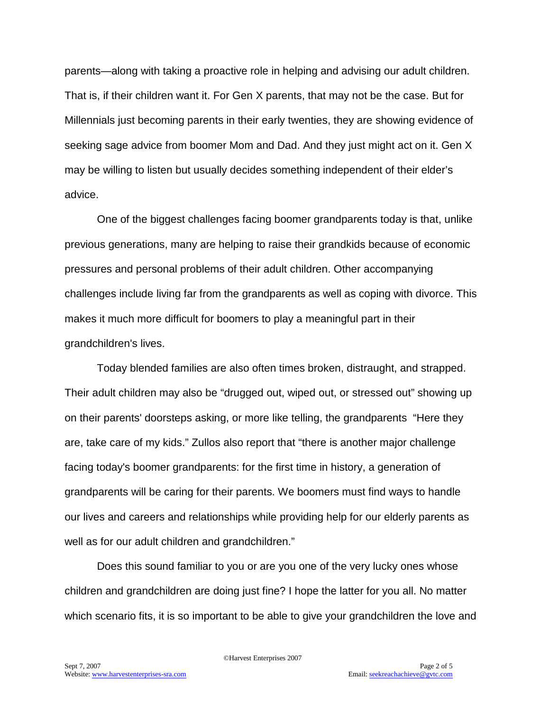parents—along with taking a proactive role in helping and advising our adult children. That is, if their children want it. For Gen X parents, that may not be the case. But for Millennials just becoming parents in their early twenties, they are showing evidence of seeking sage advice from boomer Mom and Dad. And they just might act on it. Gen X may be willing to listen but usually decides something independent of their elder's advice.

One of the biggest challenges facing boomer grandparents today is that, unlike previous generations, many are helping to raise their grandkids because of economic pressures and personal problems of their adult children. Other accompanying challenges include living far from the grandparents as well as coping with divorce. This makes it much more difficult for boomers to play a meaningful part in their grandchildren's lives.

Today blended families are also often times broken, distraught, and strapped. Their adult children may also be "drugged out, wiped out, or stressed out" showing up on their parents' doorsteps asking, or more like telling, the grandparents "Here they are, take care of my kids." Zullos also report that "there is another major challenge facing today's boomer grandparents: for the first time in history, a generation of grandparents will be caring for their parents. We boomers must find ways to handle our lives and careers and relationships while providing help for our elderly parents as well as for our adult children and grandchildren."

Does this sound familiar to you or are you one of the very lucky ones whose children and grandchildren are doing just fine? I hope the latter for you all. No matter which scenario fits, it is so important to be able to give your grandchildren the love and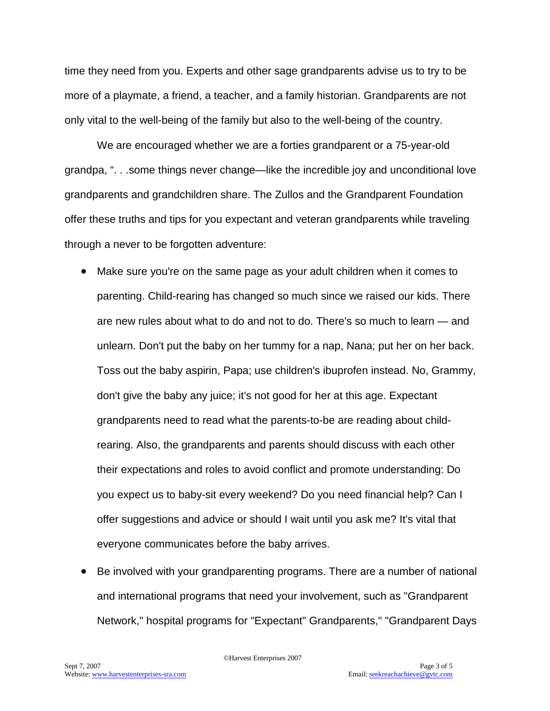time they need from you. Experts and other sage grandparents advise us to try to be more of a playmate, a friend, a teacher, and a family historian. Grandparents are not only vital to the well-being of the family but also to the well-being of the country.

We are encouraged whether we are a forties grandparent or a 75-year-old grandpa, ". . .some things never change—like the incredible joy and unconditional love grandparents and grandchildren share. The Zullos and the Grandparent Foundation offer these truths and tips for you expectant and veteran grandparents while traveling through a never to be forgotten adventure:

- Make sure you're on the same page as your adult children when it comes to parenting. Child-rearing has changed so much since we raised our kids. There are new rules about what to do and not to do. There's so much to learn — and unlearn. Don't put the baby on her tummy for a nap, Nana; put her on her back. Toss out the baby aspirin, Papa; use children's ibuprofen instead. No, Grammy, don't give the baby any juice; it's not good for her at this age. Expectant grandparents need to read what the parents-to-be are reading about childrearing. Also, the grandparents and parents should discuss with each other their expectations and roles to avoid conflict and promote understanding: Do you expect us to baby-sit every weekend? Do you need financial help? Can I offer suggestions and advice or should I wait until you ask me? It's vital that everyone communicates before the baby arrives.
- Be involved with your grandparenting programs. There are a number of national and international programs that need your involvement, such as "Grandparent Network," hospital programs for "Expectant" Grandparents," "Grandparent Days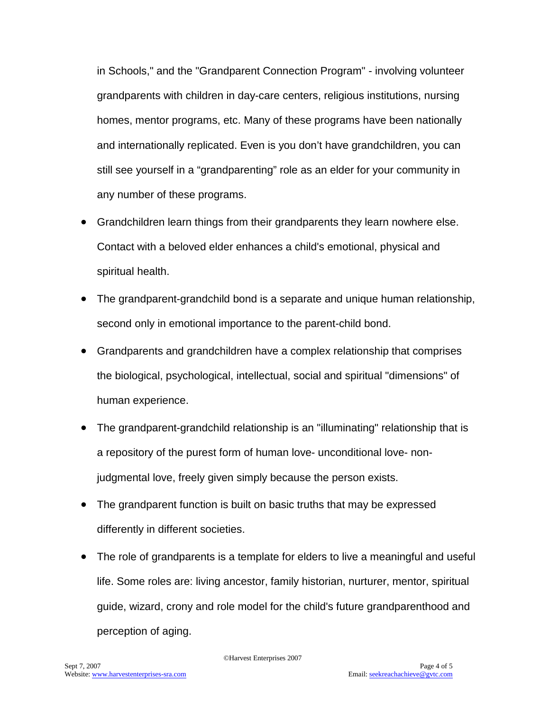in Schools," and the "Grandparent Connection Program" - involving volunteer grandparents with children in day-care centers, religious institutions, nursing homes, mentor programs, etc. Many of these programs have been nationally and internationally replicated. Even is you don't have grandchildren, you can still see yourself in a "grandparenting" role as an elder for your community in any number of these programs.

- Grandchildren learn things from their grandparents they learn nowhere else. Contact with a beloved elder enhances a child's emotional, physical and spiritual health.
- The grandparent-grandchild bond is a separate and unique human relationship, second only in emotional importance to the parent-child bond.
- Grandparents and grandchildren have a complex relationship that comprises the biological, psychological, intellectual, social and spiritual "dimensions" of human experience.
- The grandparent-grandchild relationship is an "illuminating" relationship that is a repository of the purest form of human love- unconditional love- nonjudgmental love, freely given simply because the person exists.
- The grandparent function is built on basic truths that may be expressed differently in different societies.
- The role of grandparents is a template for elders to live a meaningful and useful life. Some roles are: living ancestor, family historian, nurturer, mentor, spiritual guide, wizard, crony and role model for the child's future grandparenthood and perception of aging.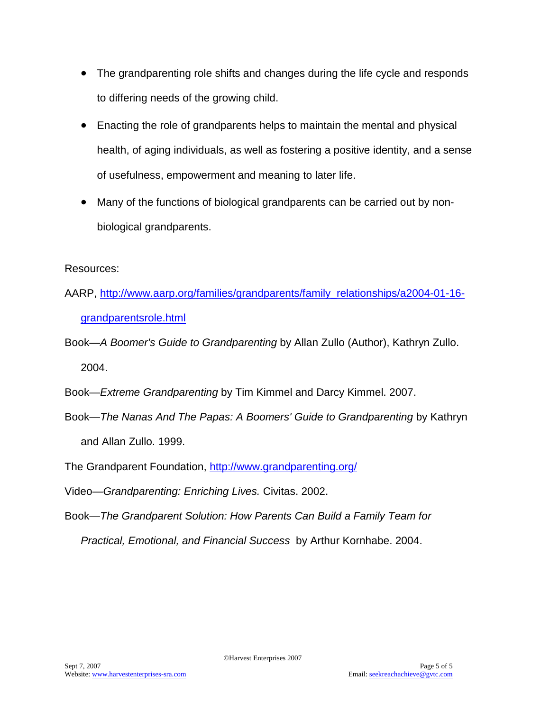- The grandparenting role shifts and changes during the life cycle and responds to differing needs of the growing child.
- Enacting the role of grandparents helps to maintain the mental and physical health, of aging individuals, as well as fostering a positive identity, and a sense of usefulness, empowerment and meaning to later life.
- Many of the functions of biological grandparents can be carried out by nonbiological grandparents.

Resources:

- AARP, [http://www.aarp.org/families/grandparents/family\\_relationships/a2004-01-16](http://www.aarp.org/families/grandparents/family_relationships/a2004-01-16-grandparentsrole.html) [grandparentsrole.html](http://www.aarp.org/families/grandparents/family_relationships/a2004-01-16-grandparentsrole.html)
- Book—*A Boomer's Guide to Grandparenting* by Allan Zullo (Author), Kathryn Zullo. 2004.
- Book—*Extreme Grandparenting* by Tim Kimmel and Darcy Kimmel. 2007.
- Book—*The Nanas And The Papas: A Boomers' Guide to Grandparenting* by Kathryn and Allan Zullo. 1999.
- The Grandparent Foundation,<http://www.grandparenting.org/>
- Video—*Grandparenting: Enriching Lives.* Civitas. 2002.
- Book—*The Grandparent Solution: How Parents Can Build a Family Team for Practical, Emotional, and Financial Success* by Arthur Kornhabe. 2004.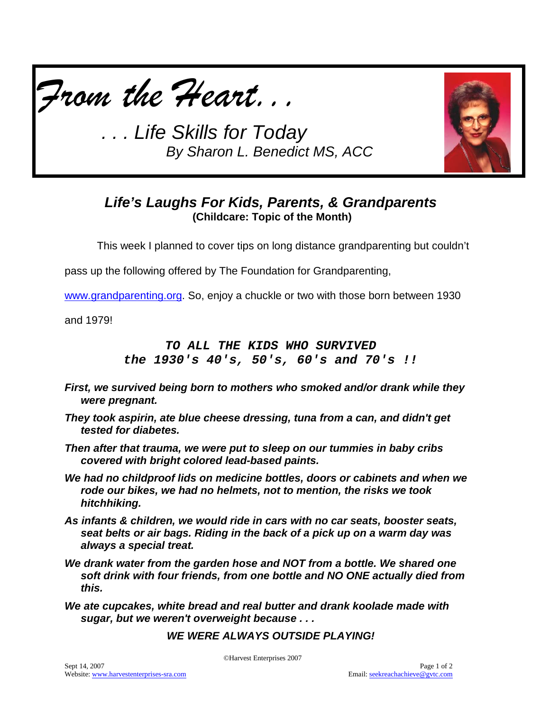



## *Life's Laughs For Kids, Parents, & Grandparents* **(Childcare: Topic of the Month)**

This week I planned to cover tips on long distance grandparenting but couldn't

pass up the following offered by The Foundation for Grandparenting,

[www.grandparenting.org.](http://www.grandparenting.org/) So, enjoy a chuckle or two with those born between 1930

and 1979!

### *TO ALL THE KIDS WHO SURVIVED the 1930's 40's, 50's, 60's and 70's !!*

- *First, we survived being born to mothers who smoked and/or drank while they were pregnant.*
- *They took aspirin, ate blue cheese dressing, tuna from a can, and didn't get tested for diabetes.*
- *Then after that trauma, we were put to sleep on our tummies in baby cribs covered with bright colored lead-based paints.*
- *We had no childproof lids on medicine bottles, doors or cabinets and when we rode our bikes, we had no helmets, not to mention, the risks we took hitchhiking.*
- *As infants & children, we would ride in cars with no car seats, booster seats, seat belts or air bags. Riding in the back of a pick up on a warm day was always a special treat.*
- *We drank water from the garden hose and NOT from a bottle. We shared one soft drink with four friends, from one bottle and NO ONE actually died from this.*
- *We ate cupcakes, white bread and real butter and drank koolade made with sugar, but we weren't overweight because . . .*

### *WE WERE ALWAYS OUTSIDE PLAYING!*

©Harvest Enterprises 2007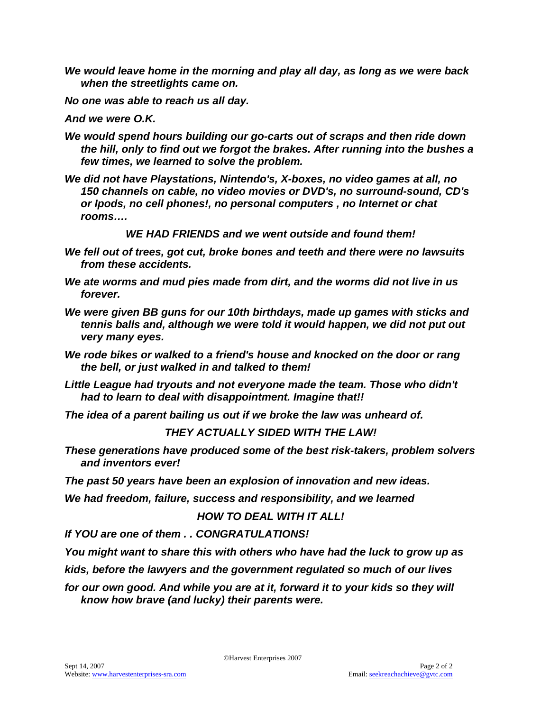- *We would leave home in the morning and play all day, as long as we were back when the streetlights came on.*
- *No one was able to reach us all day.*
- *And we were O.K.*
- *We would spend hours building our go-carts out of scraps and then ride down the hill, only to find out we forgot the brakes. After running into the bushes a few times, we learned to solve the problem.*
- *We did not have Playstations, Nintendo's, X-boxes, no video games at all, no 150 channels on cable, no video movies or DVD's, no surround-sound, CD's or Ipods, no cell phones!, no personal computers , no Internet or chat rooms….*

*WE HAD FRIENDS and we went outside and found them!*

- *We fell out of trees, got cut, broke bones and teeth and there were no lawsuits from these accidents.*
- *We ate worms and mud pies made from dirt, and the worms did not live in us forever.*
- *We were given BB guns for our 10th birthdays, made up games with sticks and tennis balls and, although we were told it would happen, we did not put out very many eyes.*
- *We rode bikes or walked to a friend's house and knocked on the door or rang the bell, or just walked in and talked to them!*
- *Little League had tryouts and not everyone made the team. Those who didn't had to learn to deal with disappointment. Imagine that!!*

*The idea of a parent bailing us out if we broke the law was unheard of.*

#### *THEY ACTUALLY SIDED WITH THE LAW!*

*These generations have produced some of the best risk-takers, problem solvers and inventors ever!*

*The past 50 years have been an explosion of innovation and new ideas.*

*We had freedom, failure, success and responsibility, and we learned*

#### *HOW TO DEAL WITH IT ALL!*

*If YOU are one of them . . CONGRATULATIONS!*

*You might want to share this with others who have had the luck to grow up as*

*kids, before the lawyers and the government regulated so much of our lives*

for our own good. And while you are at it, forward it to your kids so they will *know how brave (and lucky) their parents were.*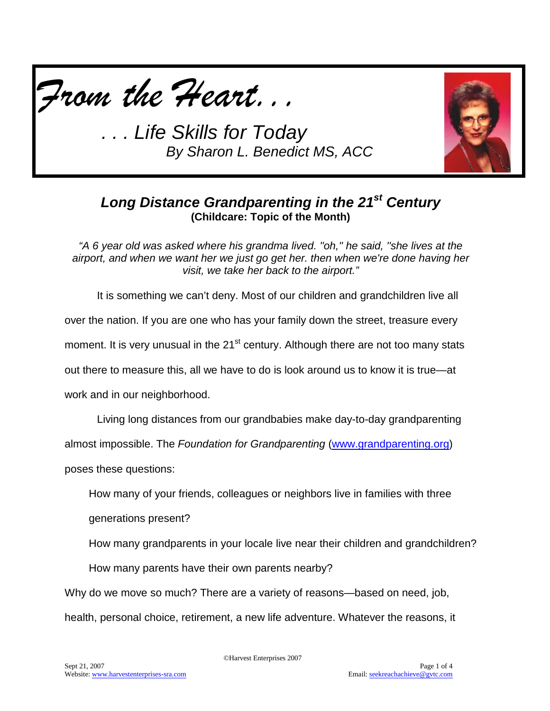



## *Long Distance Grandparenting in the 21st Century* **(Childcare: Topic of the Month)**

*"A 6 year old was asked where his grandma lived. ''oh,'' he said, ''she lives at the airport, and when we want her we just go get her. then when we're done having her visit, we take her back to the airport."*

It is something we can't deny. Most of our children and grandchildren live all over the nation. If you are one who has your family down the street, treasure every moment. It is very unusual in the 21<sup>st</sup> century. Although there are not too many stats out there to measure this, all we have to do is look around us to know it is true—at work and in our neighborhood.

Living long distances from our grandbabies make day-to-day grandparenting

almost impossible. The *Foundation for Grandparenting* [\(www.grandparenting.org\)](http://www.grandparenting.org/)

poses these questions:

How many of your friends, colleagues or neighbors live in families with three

generations present?

How many grandparents in your locale live near their children and grandchildren?

How many parents have their own parents nearby?

Why do we move so much? There are a variety of reasons—based on need, job, health, personal choice, retirement, a new life adventure. Whatever the reasons, it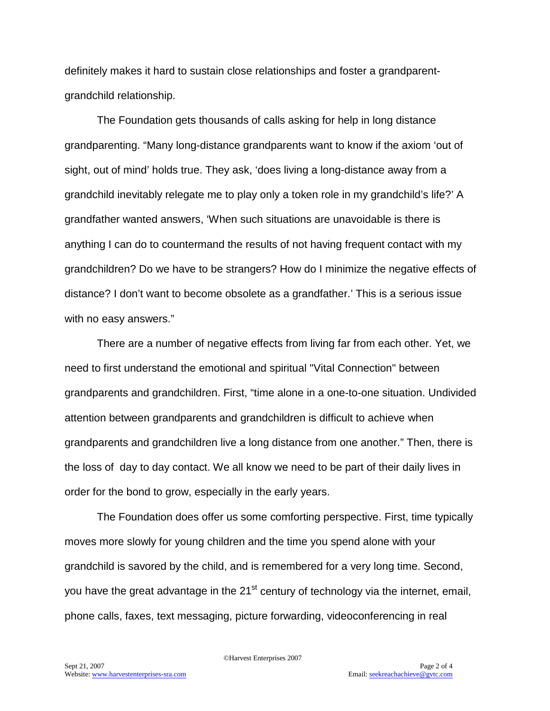definitely makes it hard to sustain close relationships and foster a grandparentgrandchild relationship.

The Foundation gets thousands of calls asking for help in long distance grandparenting. "Many long-distance grandparents want to know if the axiom 'out of sight, out of mind' holds true. They ask, 'does living a long-distance away from a grandchild inevitably relegate me to play only a token role in my grandchild's life?' A grandfather wanted answers, 'When such situations are unavoidable is there is anything I can do to countermand the results of not having frequent contact with my grandchildren? Do we have to be strangers? How do I minimize the negative effects of distance? I don't want to become obsolete as a grandfather.' This is a serious issue with no easy answers."

There are a number of negative effects from living far from each other. Yet, we need to first understand the emotional and spiritual "Vital Connection" between grandparents and grandchildren. First, "time alone in a one-to-one situation. Undivided attention between grandparents and grandchildren is difficult to achieve when grandparents and grandchildren live a long distance from one another." Then, there is the loss of day to day contact. We all know we need to be part of their daily lives in order for the bond to grow, especially in the early years.

The Foundation does offer us some comforting perspective. First, time typically moves more slowly for young children and the time you spend alone with your grandchild is savored by the child, and is remembered for a very long time. Second, you have the great advantage in the  $21<sup>st</sup>$  century of technology via the internet, email, phone calls, faxes, text messaging, picture forwarding, videoconferencing in real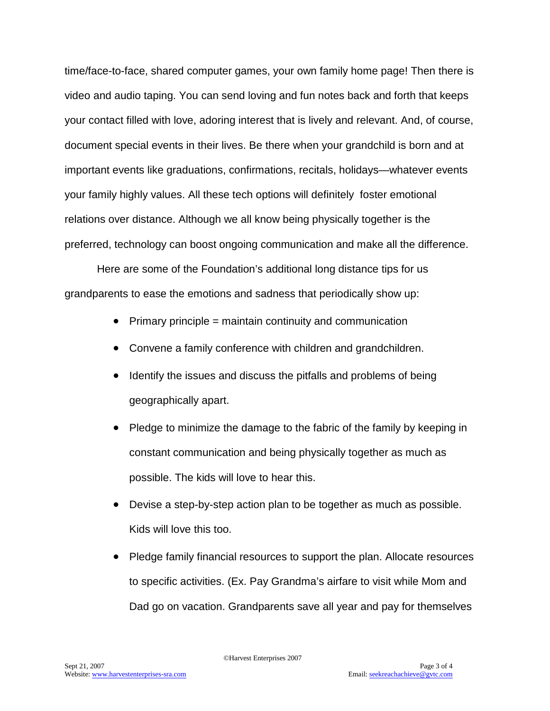time/face-to-face, shared computer games, your own family home page! Then there is video and audio taping. You can send loving and fun notes back and forth that keeps your contact filled with love, adoring interest that is lively and relevant. And, of course, document special events in their lives. Be there when your grandchild is born and at important events like graduations, confirmations, recitals, holidays—whatever events your family highly values. All these tech options will definitely foster emotional relations over distance. Although we all know being physically together is the preferred, technology can boost ongoing communication and make all the difference.

Here are some of the Foundation's additional long distance tips for us grandparents to ease the emotions and sadness that periodically show up:

- Primary principle = maintain continuity and communication
- Convene a family conference with children and grandchildren.
- Identify the issues and discuss the pitfalls and problems of being geographically apart.
- Pledge to minimize the damage to the fabric of the family by keeping in constant communication and being physically together as much as possible. The kids will love to hear this.
- Devise a step-by-step action plan to be together as much as possible. Kids will love this too.
- Pledge family financial resources to support the plan. Allocate resources to specific activities. (Ex. Pay Grandma's airfare to visit while Mom and Dad go on vacation. Grandparents save all year and pay for themselves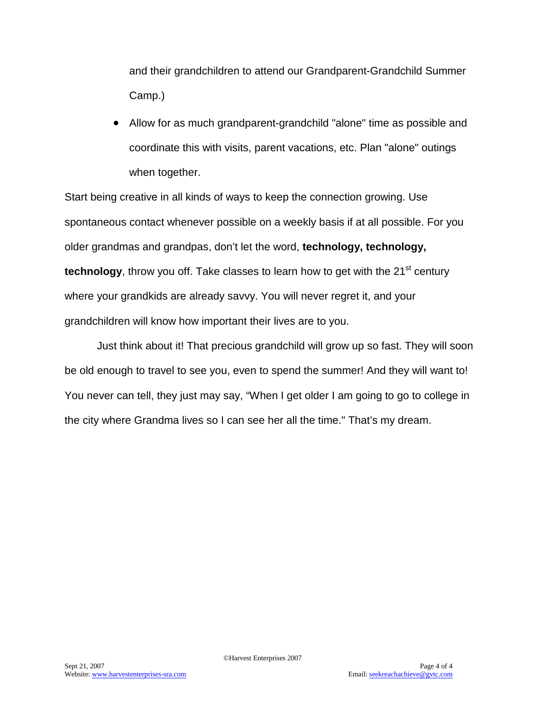and their grandchildren to attend our Grandparent-Grandchild Summer Camp.)

• Allow for as much grandparent-grandchild "alone" time as possible and coordinate this with visits, parent vacations, etc. Plan "alone" outings when together.

Start being creative in all kinds of ways to keep the connection growing. Use spontaneous contact whenever possible on a weekly basis if at all possible. For you older grandmas and grandpas, don't let the word, **technology, technology, technology**, throw you off. Take classes to learn how to get with the 21<sup>st</sup> century where your grandkids are already savvy. You will never regret it, and your grandchildren will know how important their lives are to you.

Just think about it! That precious grandchild will grow up so fast. They will soon be old enough to travel to see you, even to spend the summer! And they will want to! You never can tell, they just may say, "When I get older I am going to go to college in the city where Grandma lives so I can see her all the time." That's my dream.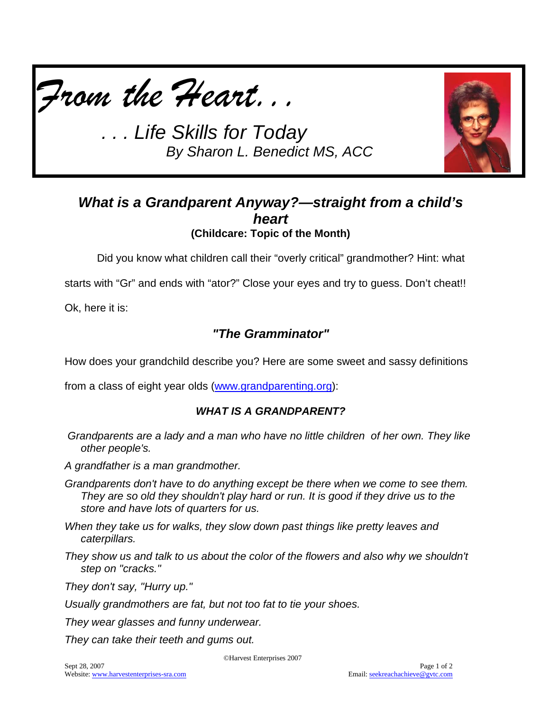



## *What is a Grandparent Anyway?—straight from a child's heart* **(Childcare: Topic of the Month)**

Did you know what children call their "overly critical" grandmother? Hint: what

starts with "Gr" and ends with "ator?" Close your eyes and try to guess. Don't cheat!!

Ok, here it is:

## *"The Gramminator"*

How does your grandchild describe you? Here are some sweet and sassy definitions

from a class of eight year olds [\(www.grandparenting.org\)](http://www.grandparenting.org/):

### *WHAT IS A GRANDPARENT?*

*Grandparents are a lady and a man who have no little children of her own. They like other people's.*

*A grandfather is a man grandmother.*

- *Grandparents don't have to do anything except be there when we come to see them. They are so old they shouldn't play hard or run. It is good if they drive us to the store and have lots of quarters for us.*
- *When they take us for walks, they slow down past things like pretty leaves and caterpillars.*
- *They show us and talk to us about the color of the flowers and also why we shouldn't step on "cracks."*

*They don't say, "Hurry up."*

*Usually grandmothers are fat, but not too fat to tie your shoes.*

*They wear glasses and funny underwear.* 

*They can take their teeth and gums out.*

©Harvest Enterprises 2007